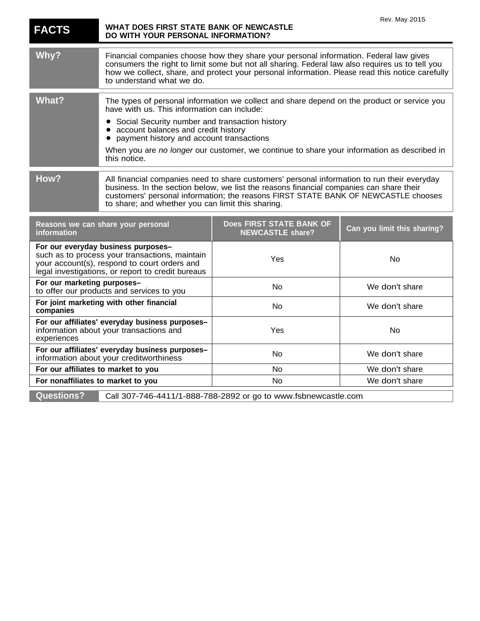| <b>FACTS</b>                                                                                                                                                                               | WHAT DOES FIRST STATE BANK OF NEWCASTLE<br>DO WITH YOUR PERSONAL INFORMATION?                                                                                                                                                                                                                                                     |                                                                                             | Rev. May 2015               |
|--------------------------------------------------------------------------------------------------------------------------------------------------------------------------------------------|-----------------------------------------------------------------------------------------------------------------------------------------------------------------------------------------------------------------------------------------------------------------------------------------------------------------------------------|---------------------------------------------------------------------------------------------|-----------------------------|
| Why?                                                                                                                                                                                       | Financial companies choose how they share your personal information. Federal law gives<br>consumers the right to limit some but not all sharing. Federal law also requires us to tell you<br>how we collect, share, and protect your personal information. Please read this notice carefully<br>to understand what we do.         |                                                                                             |                             |
| <b>What?</b>                                                                                                                                                                               | have with us. This information can include:<br>Social Security number and transaction history<br>• account balances and credit history                                                                                                                                                                                            | The types of personal information we collect and share depend on the product or service you |                             |
|                                                                                                                                                                                            | payment history and account transactions<br>this notice.                                                                                                                                                                                                                                                                          | When you are no longer our customer, we continue to share your information as described in  |                             |
| How?                                                                                                                                                                                       | All financial companies need to share customers' personal information to run their everyday<br>business. In the section below, we list the reasons financial companies can share their<br>customers' personal information; the reasons FIRST STATE BANK OF NEWCASTLE chooses<br>to share; and whether you can limit this sharing. |                                                                                             |                             |
| Reasons we can share your personal<br>information                                                                                                                                          |                                                                                                                                                                                                                                                                                                                                   | Does FIRST STATE BANK OF<br><b>NEWCASTLE share?</b>                                         | Can you limit this sharing? |
| For our everyday business purposes-<br>such as to process your transactions, maintain<br>your account(s), respond to court orders and<br>legal investigations, or report to credit bureaus |                                                                                                                                                                                                                                                                                                                                   | Yes                                                                                         | No                          |
| For our marketing purposes-<br>to offer our products and services to you                                                                                                                   |                                                                                                                                                                                                                                                                                                                                   | <b>No</b>                                                                                   | We don't share              |
| For joint marketing with other financial<br>companies                                                                                                                                      |                                                                                                                                                                                                                                                                                                                                   | <b>No</b>                                                                                   | We don't share              |
| For our affiliates' everyday business purposes-<br>information about your transactions and<br>experiences                                                                                  |                                                                                                                                                                                                                                                                                                                                   | Yes                                                                                         | No                          |
| For our affiliates' everyday business purposes-<br>information about your creditworthiness                                                                                                 |                                                                                                                                                                                                                                                                                                                                   | No                                                                                          | We don't share              |
| For our affiliates to market to you                                                                                                                                                        |                                                                                                                                                                                                                                                                                                                                   | No                                                                                          | We don't share              |
| For nonaffiliates to market to you                                                                                                                                                         |                                                                                                                                                                                                                                                                                                                                   | No                                                                                          | We don't share              |
| <b>Questions?</b>                                                                                                                                                                          |                                                                                                                                                                                                                                                                                                                                   | Call 307-746-4411/1-888-788-2892 or go to www.fsbnewcastle.com                              |                             |